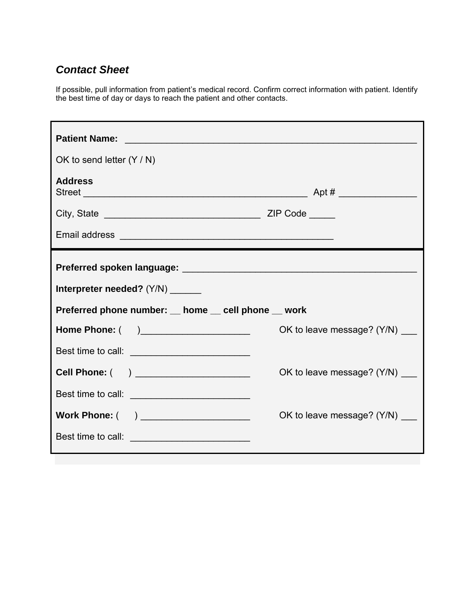## *Contact Sheet*

If possible, pull information from patient's medical record. Confirm correct information with patient. Identify the best time of day or days to reach the patient and other contacts.

| OK to send letter $(Y/N)$                          |                                |  |
|----------------------------------------------------|--------------------------------|--|
| <b>Address</b>                                     |                                |  |
|                                                    |                                |  |
|                                                    |                                |  |
|                                                    |                                |  |
| Interpreter needed? (Y/N) ______                   |                                |  |
| Preferred phone number: _ home _ cell phone _ work |                                |  |
| Home Phone: ( )______________________              | OK to leave message? (Y/N) ___ |  |
| Best time to call: __________________________      |                                |  |
| Cell Phone: ( ) _____________________              | OK to leave message? (Y/N) ___ |  |
|                                                    |                                |  |
| Work Phone: ( ) ____________________               | OK to leave message? (Y/N) ___ |  |
|                                                    |                                |  |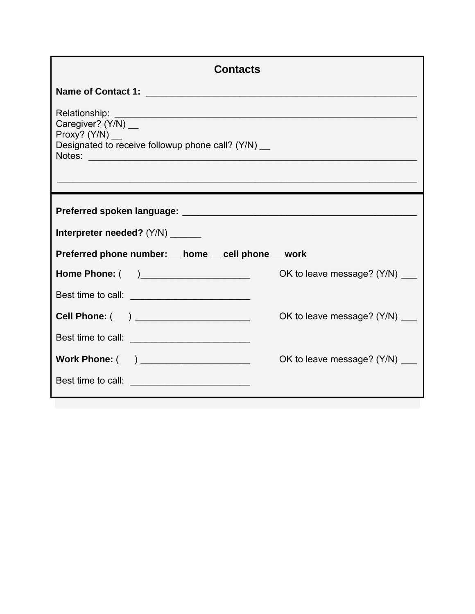| <b>Contacts</b>                                                                                                |                                |  |
|----------------------------------------------------------------------------------------------------------------|--------------------------------|--|
|                                                                                                                |                                |  |
| Caregiver? (Y/N) __<br>Proxy? $(Y/N)$ __<br>Designated to receive followup phone call? (Y/N) __                |                                |  |
| Preferred spoken language: Manual Manual Manual Manual Manual Manual Manual Manual Manual Manual Manual Manual |                                |  |
| Interpreter needed? (Y/N) ______                                                                               |                                |  |
| Preferred phone number: home cell phone work                                                                   |                                |  |
|                                                                                                                | OK to leave message? (Y/N) ___ |  |
| Best time to call: ___________________________                                                                 |                                |  |
|                                                                                                                | OK to leave message? (Y/N)     |  |
| Best time to call: __________________________                                                                  |                                |  |
| Work Phone: ( ) _______________________                                                                        | OK to leave message? (Y/N) ___ |  |
|                                                                                                                |                                |  |